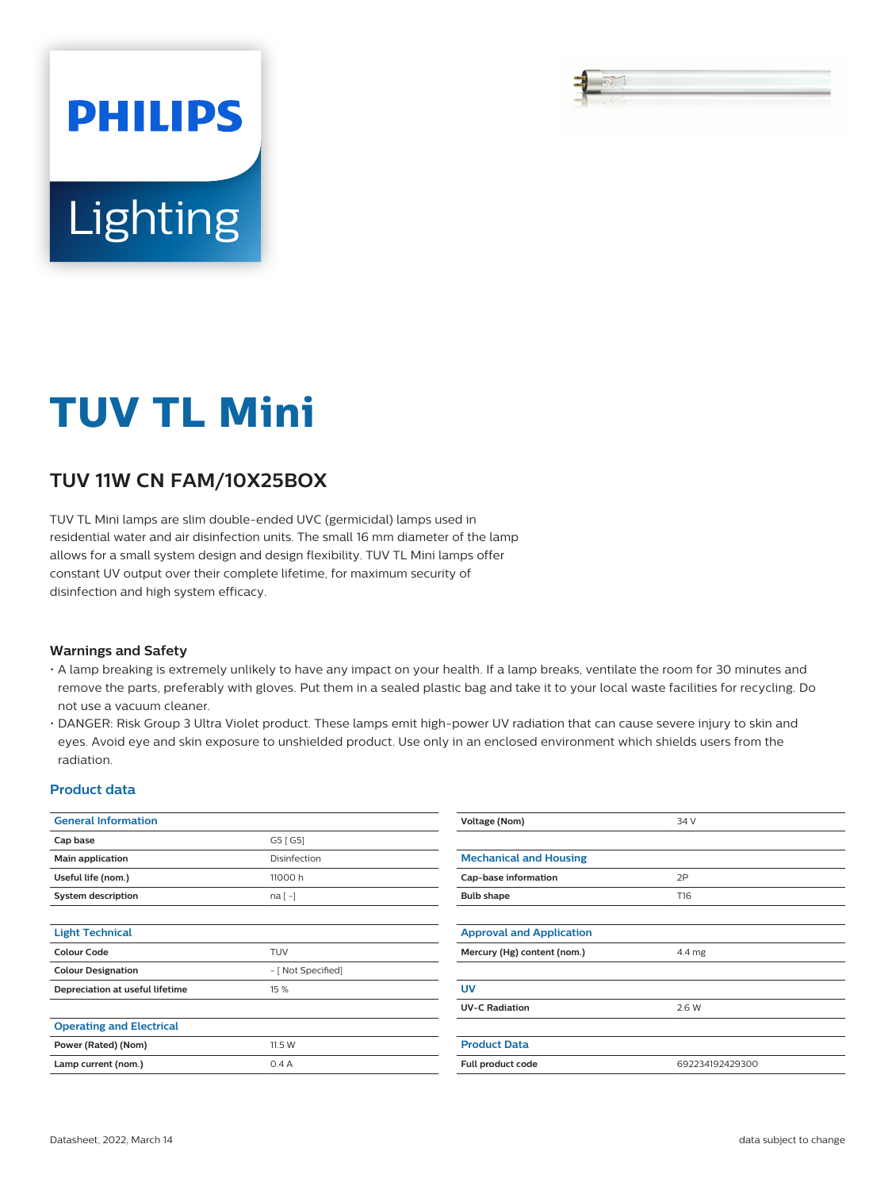# Lighting

**PHILIPS** 

## **TUV TL Mini**

### **TUV 11W CN FAM/10X25BOX**

TUV TL Mini lamps are slim double-ended UVC (germicidal) lamps used in residential water and air disinfection units. The small 16 mm diameter of the lamp allows for a small system design and design flexibility. TUV TL Mini lamps offer constant UV output over their complete lifetime, for maximum security of disinfection and high system efficacy.

#### **Warnings and Safety**

- A lamp breaking is extremely unlikely to have any impact on your health. If a lamp breaks, ventilate the room for 30 minutes and remove the parts, preferably with gloves. Put them in a sealed plastic bag and take it to your local waste facilities for recycling. Do not use a vacuum cleaner.
- DANGER: Risk Group 3 Ultra Violet product. These lamps emit high-power UV radiation that can cause severe injury to skin and eyes. Avoid eye and skin exposure to unshielded product. Use only in an enclosed environment which shields users from the radiation.

#### **Product data**

| <b>General Information</b>      |                    | Voltage (Nom)                   | 34 V            |  |
|---------------------------------|--------------------|---------------------------------|-----------------|--|
| Cap base                        | G5 [G5]            |                                 |                 |  |
| Main application                | Disinfection       | <b>Mechanical and Housing</b>   |                 |  |
| Useful life (nom.)              | 11000 h            | Cap-base information            | 2P              |  |
| System description              | $na[-]$            | <b>Bulb shape</b>               | T16             |  |
|                                 |                    |                                 |                 |  |
| <b>Light Technical</b>          |                    | <b>Approval and Application</b> |                 |  |
| <b>Colour Code</b>              | TUV                | Mercury (Hg) content (nom.)     | 4.4 mg          |  |
| <b>Colour Designation</b>       | - [ Not Specified] |                                 |                 |  |
| Depreciation at useful lifetime | 15 %               | <b>UV</b>                       |                 |  |
|                                 |                    | <b>UV-C Radiation</b>           | 2.6 W           |  |
| <b>Operating and Electrical</b> |                    |                                 |                 |  |
| Power (Rated) (Nom)             | 11.5 W             | <b>Product Data</b>             |                 |  |
| Lamp current (nom.)             | 0.4A               | Full product code               | 692234192429300 |  |
|                                 |                    |                                 |                 |  |